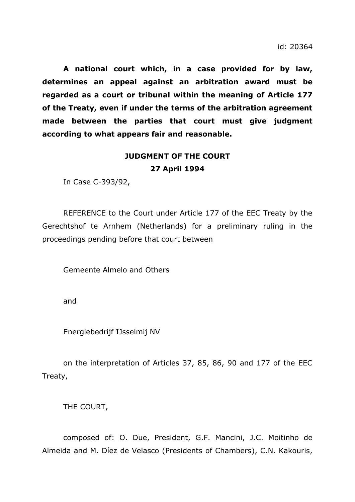**A national court which, in a case provided for by law, determines an appeal against an arbitration award must be regarded as a court or tribunal within the meaning of Article 177 of the Treaty, even if under the terms of the arbitration agreement made between the parties that court must give judgment according to what appears fair and reasonable.**

# **JUDGMENT OF THE COURT 27 April 1994**

In Case C-393/92,

REFERENCE to the Court under Article 177 of the EEC Treaty by the Gerechtshof te Arnhem (Netherlands) for a preliminary ruling in the proceedings pending before that court between

Gemeente Almelo and Others

and

Energiebedrijf IJsselmij NV

on the interpretation of Articles 37, 85, 86, 90 and 177 of the EEC Treaty,

THE COURT,

composed of: O. Due, President, G.F. Mancini, J.C. Moitinho de Almeida and M. Díez de Velasco (Presidents of Chambers), C.N. Kakouris,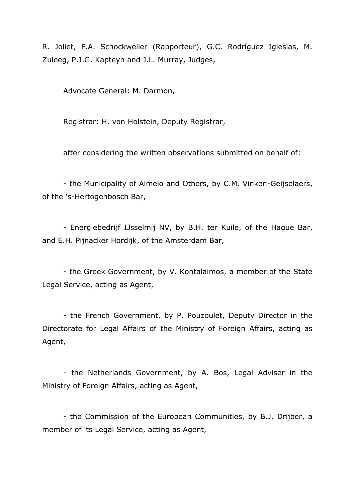R. Joliet, F.A. Schockweiler (Rapporteur), G.C. Rodríguez Iglesias, M. Zuleeg, P.J.G. Kapteyn and J.L. Murray, Judges,

Advocate General: M. Darmon,

Registrar: H. von Holstein, Deputy Registrar,

after considering the written observations submitted on behalf of:

- the Municipality of Almelo and Others, by C.M. Vinken-Geijselaers, of the 's-Hertogenbosch Bar,

- Energiebedrijf IJsselmij NV, by B.H. ter Kuile, of the Hague Bar, and E.H. Pijnacker Hordijk, of the Amsterdam Bar,

- the Greek Government, by V. Kontalaimos, a member of the State Legal Service, acting as Agent,

- the French Government, by P. Pouzoulet, Deputy Director in the Directorate for Legal Affairs of the Ministry of Foreign Affairs, acting as Agent,

- the Netherlands Government, by A. Bos, Legal Adviser in the Ministry of Foreign Affairs, acting as Agent,

- the Commission of the European Communities, by B.J. Drijber, a member of its Legal Service, acting as Agent,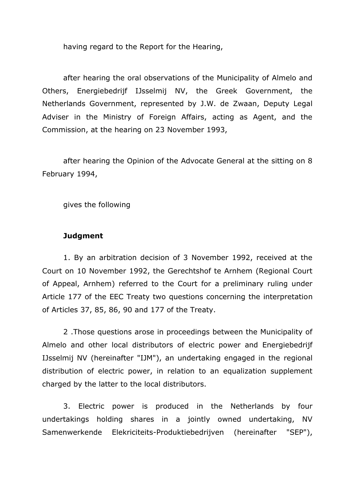having regard to the Report for the Hearing,

after hearing the oral observations of the Municipality of Almelo and Others, Energiebedrijf IJsselmij NV, the Greek Government, the Netherlands Government, represented by J.W. de Zwaan, Deputy Legal Adviser in the Ministry of Foreign Affairs, acting as Agent, and the Commission, at the hearing on 23 November 1993,

after hearing the Opinion of the Advocate General at the sitting on 8 February 1994,

gives the following

## **Judgment**

1. By an arbitration decision of 3 November 1992, received at the Court on 10 November 1992, the Gerechtshof te Arnhem (Regional Court of Appeal, Arnhem) referred to the Court for a preliminary ruling under Article 177 of the EEC Treaty two questions concerning the interpretation of Articles 37, 85, 86, 90 and 177 of the Treaty.

2 .Those questions arose in proceedings between the Municipality of Almelo and other local distributors of electric power and Energiebedrijf IJsselmij NV (hereinafter "IJM"), an undertaking engaged in the regional distribution of electric power, in relation to an equalization supplement charged by the latter to the local distributors.

3. Electric power is produced in the Netherlands by four undertakings holding shares in a jointly owned undertaking, NV Samenwerkende Elekriciteits-Produktiebedrijven (hereinafter "SEP"),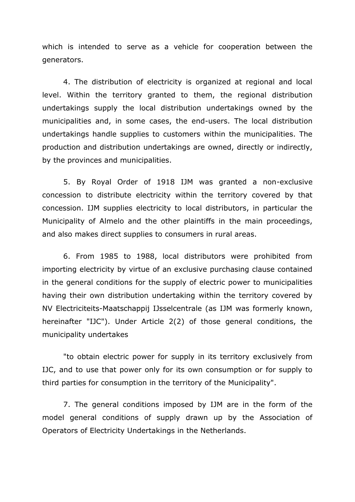which is intended to serve as a vehicle for cooperation between the generators.

4. The distribution of electricity is organized at regional and local level. Within the territory granted to them, the regional distribution undertakings supply the local distribution undertakings owned by the municipalities and, in some cases, the end-users. The local distribution undertakings handle supplies to customers within the municipalities. The production and distribution undertakings are owned, directly or indirectly, by the provinces and municipalities.

5. By Royal Order of 1918 IJM was granted a non-exclusive concession to distribute electricity within the territory covered by that concession. IJM supplies electricity to local distributors, in particular the Municipality of Almelo and the other plaintiffs in the main proceedings, and also makes direct supplies to consumers in rural areas.

6. From 1985 to 1988, local distributors were prohibited from importing electricity by virtue of an exclusive purchasing clause contained in the general conditions for the supply of electric power to municipalities having their own distribution undertaking within the territory covered by NV Electriciteits-Maatschappij IJsselcentrale (as IJM was formerly known, hereinafter "IJC"). Under Article 2(2) of those general conditions, the municipality undertakes

"to obtain electric power for supply in its territory exclusively from IJC, and to use that power only for its own consumption or for supply to third parties for consumption in the territory of the Municipality".

7. The general conditions imposed by IJM are in the form of the model general conditions of supply drawn up by the Association of Operators of Electricity Undertakings in the Netherlands.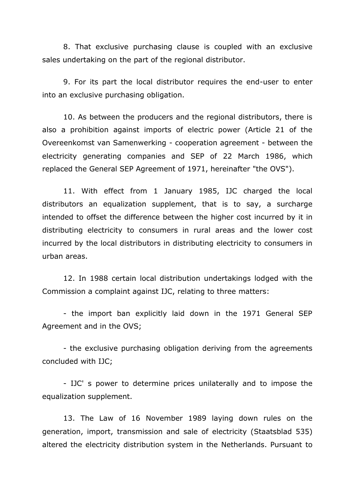8. That exclusive purchasing clause is coupled with an exclusive sales undertaking on the part of the regional distributor.

9. For its part the local distributor requires the end-user to enter into an exclusive purchasing obligation.

10. As between the producers and the regional distributors, there is also a prohibition against imports of electric power (Article 21 of the Overeenkomst van Samenwerking - cooperation agreement - between the electricity generating companies and SEP of 22 March 1986, which replaced the General SEP Agreement of 1971, hereinafter "the OVS").

11. With effect from 1 January 1985, IJC charged the local distributors an equalization supplement, that is to say, a surcharge intended to offset the difference between the higher cost incurred by it in distributing electricity to consumers in rural areas and the lower cost incurred by the local distributors in distributing electricity to consumers in urban areas.

12. In 1988 certain local distribution undertakings lodged with the Commission a complaint against IJC, relating to three matters:

- the import ban explicitly laid down in the 1971 General SEP Agreement and in the OVS;

- the exclusive purchasing obligation deriving from the agreements concluded with IJC;

- IJC' s power to determine prices unilaterally and to impose the equalization supplement.

13. The Law of 16 November 1989 laying down rules on the generation, import, transmission and sale of electricity (Staatsblad 535) altered the electricity distribution system in the Netherlands. Pursuant to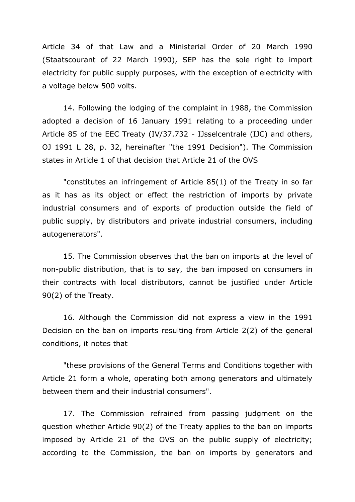Article 34 of that Law and a Ministerial Order of 20 March 1990 (Staatscourant of 22 March 1990), SEP has the sole right to import electricity for public supply purposes, with the exception of electricity with a voltage below 500 volts.

14. Following the lodging of the complaint in 1988, the Commission adopted a decision of 16 January 1991 relating to a proceeding under Article 85 of the EEC Treaty (IV/37.732 - IJsselcentrale (IJC) and others, OJ 1991 L 28, p. 32, hereinafter "the 1991 Decision"). The Commission states in Article 1 of that decision that Article 21 of the OVS

"constitutes an infringement of Article 85(1) of the Treaty in so far as it has as its object or effect the restriction of imports by private industrial consumers and of exports of production outside the field of public supply, by distributors and private industrial consumers, including autogenerators".

15. The Commission observes that the ban on imports at the level of non-public distribution, that is to say, the ban imposed on consumers in their contracts with local distributors, cannot be justified under Article 90(2) of the Treaty.

16. Although the Commission did not express a view in the 1991 Decision on the ban on imports resulting from Article 2(2) of the general conditions, it notes that

"these provisions of the General Terms and Conditions together with Article 21 form a whole, operating both among generators and ultimately between them and their industrial consumers".

17. The Commission refrained from passing judgment on the question whether Article 90(2) of the Treaty applies to the ban on imports imposed by Article 21 of the OVS on the public supply of electricity; according to the Commission, the ban on imports by generators and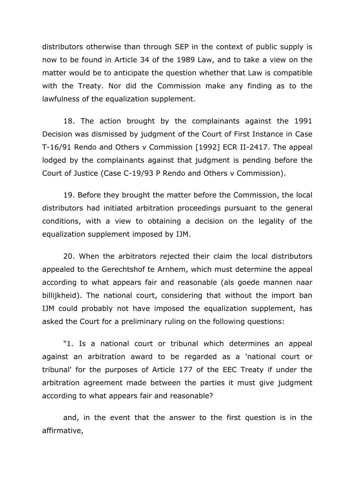distributors otherwise than through SEP in the context of public supply is now to be found in Article 34 of the 1989 Law, and to take a view on the matter would be to anticipate the question whether that Law is compatible with the Treaty. Nor did the Commission make any finding as to the lawfulness of the equalization supplement.

18. The action brought by the complainants against the 1991 Decision was dismissed by judgment of the Court of First Instance in Case T-16/91 Rendo and Others v Commission [1992] ECR II-2417. The appeal lodged by the complainants against that judgment is pending before the Court of Justice (Case C-19/93 P Rendo and Others v Commission).

19. Before they brought the matter before the Commission, the local distributors had initiated arbitration proceedings pursuant to the general conditions, with a view to obtaining a decision on the legality of the equalization supplement imposed by IJM.

20. When the arbitrators rejected their claim the local distributors appealed to the Gerechtshof te Arnhem, which must determine the appeal according to what appears fair and reasonable (als goede mannen naar billijkheid). The national court, considering that without the import ban IJM could probably not have imposed the equalization supplement, has asked the Court for a preliminary ruling on the following questions:

"1. Is a national court or tribunal which determines an appeal against an arbitration award to be regarded as a 'national court or tribunal' for the purposes of Article 177 of the EEC Treaty if under the arbitration agreement made between the parties it must give judgment according to what appears fair and reasonable?

and, in the event that the answer to the first question is in the affirmative,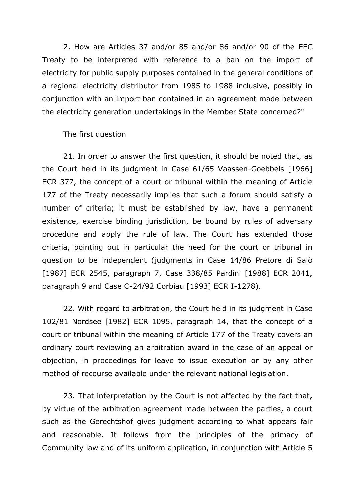2. How are Articles 37 and/or 85 and/or 86 and/or 90 of the EEC Treaty to be interpreted with reference to a ban on the import of electricity for public supply purposes contained in the general conditions of a regional electricity distributor from 1985 to 1988 inclusive, possibly in conjunction with an import ban contained in an agreement made between the electricity generation undertakings in the Member State concerned?"

The first question

21. In order to answer the first question, it should be noted that, as the Court held in its judgment in Case 61/65 Vaassen-Goebbels [1966] ECR 377, the concept of a court or tribunal within the meaning of Article 177 of the Treaty necessarily implies that such a forum should satisfy a number of criteria; it must be established by law, have a permanent existence, exercise binding jurisdiction, be bound by rules of adversary procedure and apply the rule of law. The Court has extended those criteria, pointing out in particular the need for the court or tribunal in question to be independent (judgments in Case 14/86 Pretore di Salò [1987] ECR 2545, paragraph 7, Case 338/85 Pardini [1988] ECR 2041, paragraph 9 and Case C-24/92 Corbiau [1993] ECR I-1278).

22. With regard to arbitration, the Court held in its judgment in Case 102/81 Nordsee [1982] ECR 1095, paragraph 14, that the concept of a court or tribunal within the meaning of Article 177 of the Treaty covers an ordinary court reviewing an arbitration award in the case of an appeal or objection, in proceedings for leave to issue execution or by any other method of recourse available under the relevant national legislation.

23. That interpretation by the Court is not affected by the fact that, by virtue of the arbitration agreement made between the parties, a court such as the Gerechtshof gives judgment according to what appears fair and reasonable. It follows from the principles of the primacy of Community law and of its uniform application, in conjunction with Article 5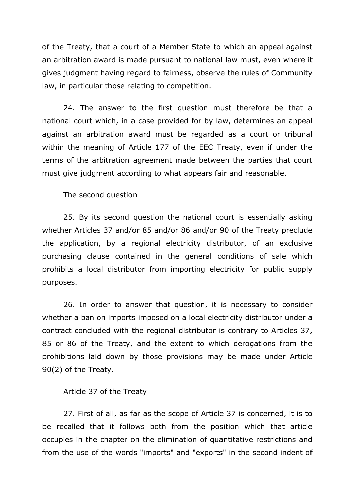of the Treaty, that a court of a Member State to which an appeal against an arbitration award is made pursuant to national law must, even where it gives judgment having regard to fairness, observe the rules of Community law, in particular those relating to competition.

24. The answer to the first question must therefore be that a national court which, in a case provided for by law, determines an appeal against an arbitration award must be regarded as a court or tribunal within the meaning of Article 177 of the EEC Treaty, even if under the terms of the arbitration agreement made between the parties that court must give judgment according to what appears fair and reasonable.

The second question

25. By its second question the national court is essentially asking whether Articles 37 and/or 85 and/or 86 and/or 90 of the Treaty preclude the application, by a regional electricity distributor, of an exclusive purchasing clause contained in the general conditions of sale which prohibits a local distributor from importing electricity for public supply purposes.

26. In order to answer that question, it is necessary to consider whether a ban on imports imposed on a local electricity distributor under a contract concluded with the regional distributor is contrary to Articles 37, 85 or 86 of the Treaty, and the extent to which derogations from the prohibitions laid down by those provisions may be made under Article 90(2) of the Treaty.

#### Article 37 of the Treaty

27. First of all, as far as the scope of Article 37 is concerned, it is to be recalled that it follows both from the position which that article occupies in the chapter on the elimination of quantitative restrictions and from the use of the words "imports" and "exports" in the second indent of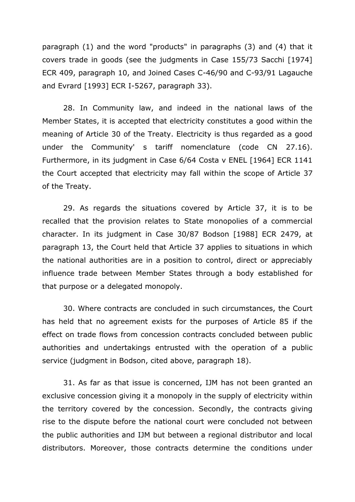paragraph (1) and the word "products" in paragraphs (3) and (4) that it covers trade in goods (see the judgments in Case 155/73 Sacchi [1974] ECR 409, paragraph 10, and Joined Cases C-46/90 and C-93/91 Lagauche and Evrard [1993] ECR I-5267, paragraph 33).

28. In Community law, and indeed in the national laws of the Member States, it is accepted that electricity constitutes a good within the meaning of Article 30 of the Treaty. Electricity is thus regarded as a good under the Community' s tariff nomenclature (code CN 27.16). Furthermore, in its judgment in Case 6/64 Costa v ENEL [1964] ECR 1141 the Court accepted that electricity may fall within the scope of Article 37 of the Treaty.

29. As regards the situations covered by Article 37, it is to be recalled that the provision relates to State monopolies of a commercial character. In its judgment in Case 30/87 Bodson [1988] ECR 2479, at paragraph 13, the Court held that Article 37 applies to situations in which the national authorities are in a position to control, direct or appreciably influence trade between Member States through a body established for that purpose or a delegated monopoly.

30. Where contracts are concluded in such circumstances, the Court has held that no agreement exists for the purposes of Article 85 if the effect on trade flows from concession contracts concluded between public authorities and undertakings entrusted with the operation of a public service (judgment in Bodson, cited above, paragraph 18).

31. As far as that issue is concerned, IJM has not been granted an exclusive concession giving it a monopoly in the supply of electricity within the territory covered by the concession. Secondly, the contracts giving rise to the dispute before the national court were concluded not between the public authorities and IJM but between a regional distributor and local distributors. Moreover, those contracts determine the conditions under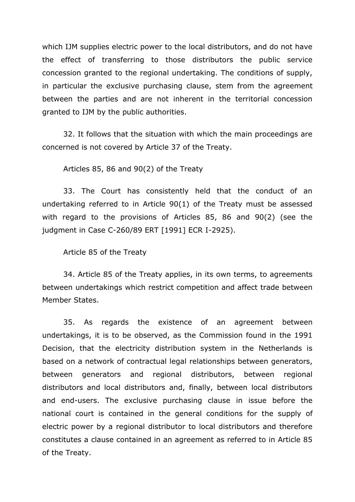which IJM supplies electric power to the local distributors, and do not have the effect of transferring to those distributors the public service concession granted to the regional undertaking. The conditions of supply, in particular the exclusive purchasing clause, stem from the agreement between the parties and are not inherent in the territorial concession granted to IJM by the public authorities.

32. It follows that the situation with which the main proceedings are concerned is not covered by Article 37 of the Treaty.

Articles 85, 86 and 90(2) of the Treaty

33. The Court has consistently held that the conduct of an undertaking referred to in Article 90(1) of the Treaty must be assessed with regard to the provisions of Articles 85, 86 and 90(2) (see the judgment in Case C-260/89 ERT [1991] ECR I-2925).

Article 85 of the Treaty

34. Article 85 of the Treaty applies, in its own terms, to agreements between undertakings which restrict competition and affect trade between Member States.

35. As regards the existence of an agreement between undertakings, it is to be observed, as the Commission found in the 1991 Decision, that the electricity distribution system in the Netherlands is based on a network of contractual legal relationships between generators, between generators and regional distributors, between regional distributors and local distributors and, finally, between local distributors and end-users. The exclusive purchasing clause in issue before the national court is contained in the general conditions for the supply of electric power by a regional distributor to local distributors and therefore constitutes a clause contained in an agreement as referred to in Article 85 of the Treaty.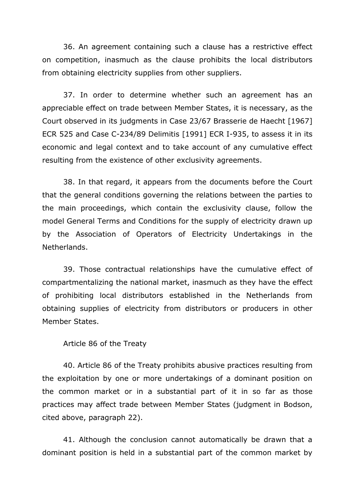36. An agreement containing such a clause has a restrictive effect on competition, inasmuch as the clause prohibits the local distributors from obtaining electricity supplies from other suppliers.

37. In order to determine whether such an agreement has an appreciable effect on trade between Member States, it is necessary, as the Court observed in its judgments in Case 23/67 Brasserie de Haecht [1967] ECR 525 and Case C-234/89 Delimitis [1991] ECR I-935, to assess it in its economic and legal context and to take account of any cumulative effect resulting from the existence of other exclusivity agreements.

38. In that regard, it appears from the documents before the Court that the general conditions governing the relations between the parties to the main proceedings, which contain the exclusivity clause, follow the model General Terms and Conditions for the supply of electricity drawn up by the Association of Operators of Electricity Undertakings in the Netherlands.

39. Those contractual relationships have the cumulative effect of compartmentalizing the national market, inasmuch as they have the effect of prohibiting local distributors established in the Netherlands from obtaining supplies of electricity from distributors or producers in other Member States.

## Article 86 of the Treaty

40. Article 86 of the Treaty prohibits abusive practices resulting from the exploitation by one or more undertakings of a dominant position on the common market or in a substantial part of it in so far as those practices may affect trade between Member States (judgment in Bodson, cited above, paragraph 22).

41. Although the conclusion cannot automatically be drawn that a dominant position is held in a substantial part of the common market by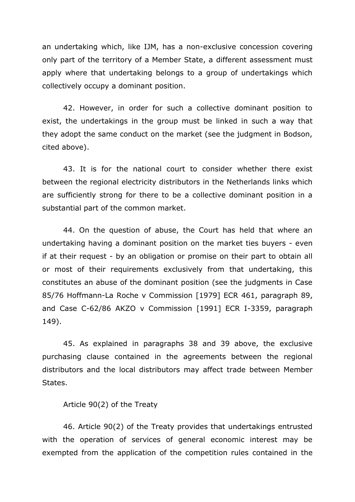an undertaking which, like IJM, has a non-exclusive concession covering only part of the territory of a Member State, a different assessment must apply where that undertaking belongs to a group of undertakings which collectively occupy a dominant position.

42. However, in order for such a collective dominant position to exist, the undertakings in the group must be linked in such a way that they adopt the same conduct on the market (see the judgment in Bodson, cited above).

43. It is for the national court to consider whether there exist between the regional electricity distributors in the Netherlands links which are sufficiently strong for there to be a collective dominant position in a substantial part of the common market.

44. On the question of abuse, the Court has held that where an undertaking having a dominant position on the market ties buyers - even if at their request - by an obligation or promise on their part to obtain all or most of their requirements exclusively from that undertaking, this constitutes an abuse of the dominant position (see the judgments in Case 85/76 Hoffmann-La Roche v Commission [1979] ECR 461, paragraph 89, and Case C-62/86 AKZO v Commission [1991] ECR I-3359, paragraph 149).

45. As explained in paragraphs 38 and 39 above, the exclusive purchasing clause contained in the agreements between the regional distributors and the local distributors may affect trade between Member States.

## Article 90(2) of the Treaty

46. Article 90(2) of the Treaty provides that undertakings entrusted with the operation of services of general economic interest may be exempted from the application of the competition rules contained in the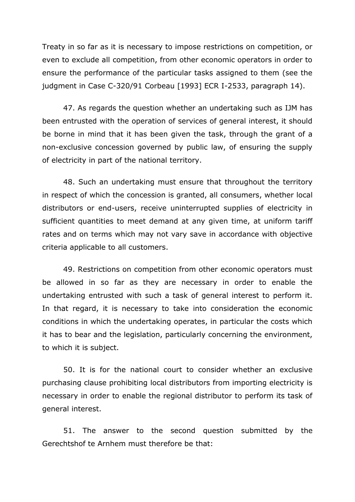Treaty in so far as it is necessary to impose restrictions on competition, or even to exclude all competition, from other economic operators in order to ensure the performance of the particular tasks assigned to them (see the judgment in Case C-320/91 Corbeau [1993] ECR I-2533, paragraph 14).

47. As regards the question whether an undertaking such as IJM has been entrusted with the operation of services of general interest, it should be borne in mind that it has been given the task, through the grant of a non-exclusive concession governed by public law, of ensuring the supply of electricity in part of the national territory.

48. Such an undertaking must ensure that throughout the territory in respect of which the concession is granted, all consumers, whether local distributors or end-users, receive uninterrupted supplies of electricity in sufficient quantities to meet demand at any given time, at uniform tariff rates and on terms which may not vary save in accordance with objective criteria applicable to all customers.

49. Restrictions on competition from other economic operators must be allowed in so far as they are necessary in order to enable the undertaking entrusted with such a task of general interest to perform it. In that regard, it is necessary to take into consideration the economic conditions in which the undertaking operates, in particular the costs which it has to bear and the legislation, particularly concerning the environment, to which it is subject.

50. It is for the national court to consider whether an exclusive purchasing clause prohibiting local distributors from importing electricity is necessary in order to enable the regional distributor to perform its task of general interest.

51. The answer to the second question submitted by the Gerechtshof te Arnhem must therefore be that: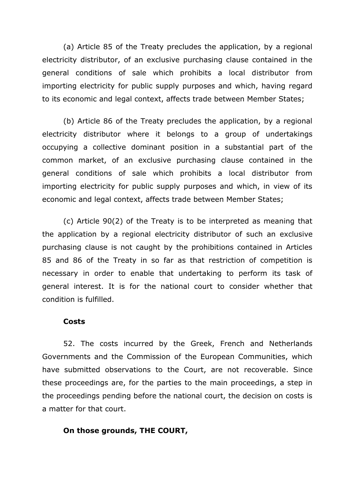(a) Article 85 of the Treaty precludes the application, by a regional electricity distributor, of an exclusive purchasing clause contained in the general conditions of sale which prohibits a local distributor from importing electricity for public supply purposes and which, having regard to its economic and legal context, affects trade between Member States;

(b) Article 86 of the Treaty precludes the application, by a regional electricity distributor where it belongs to a group of undertakings occupying a collective dominant position in a substantial part of the common market, of an exclusive purchasing clause contained in the general conditions of sale which prohibits a local distributor from importing electricity for public supply purposes and which, in view of its economic and legal context, affects trade between Member States;

(c) Article 90(2) of the Treaty is to be interpreted as meaning that the application by a regional electricity distributor of such an exclusive purchasing clause is not caught by the prohibitions contained in Articles 85 and 86 of the Treaty in so far as that restriction of competition is necessary in order to enable that undertaking to perform its task of general interest. It is for the national court to consider whether that condition is fulfilled.

#### **Costs**

52. The costs incurred by the Greek, French and Netherlands Governments and the Commission of the European Communities, which have submitted observations to the Court, are not recoverable. Since these proceedings are, for the parties to the main proceedings, a step in the proceedings pending before the national court, the decision on costs is a matter for that court.

## **On those grounds, THE COURT,**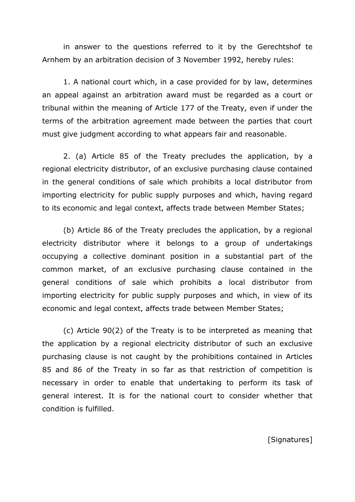in answer to the questions referred to it by the Gerechtshof te Arnhem by an arbitration decision of 3 November 1992, hereby rules:

1. A national court which, in a case provided for by law, determines an appeal against an arbitration award must be regarded as a court or tribunal within the meaning of Article 177 of the Treaty, even if under the terms of the arbitration agreement made between the parties that court must give judgment according to what appears fair and reasonable.

2. (a) Article 85 of the Treaty precludes the application, by a regional electricity distributor, of an exclusive purchasing clause contained in the general conditions of sale which prohibits a local distributor from importing electricity for public supply purposes and which, having regard to its economic and legal context, affects trade between Member States;

(b) Article 86 of the Treaty precludes the application, by a regional electricity distributor where it belongs to a group of undertakings occupying a collective dominant position in a substantial part of the common market, of an exclusive purchasing clause contained in the general conditions of sale which prohibits a local distributor from importing electricity for public supply purposes and which, in view of its economic and legal context, affects trade between Member States;

(c) Article 90(2) of the Treaty is to be interpreted as meaning that the application by a regional electricity distributor of such an exclusive purchasing clause is not caught by the prohibitions contained in Articles 85 and 86 of the Treaty in so far as that restriction of competition is necessary in order to enable that undertaking to perform its task of general interest. It is for the national court to consider whether that condition is fulfilled.

[Signatures]